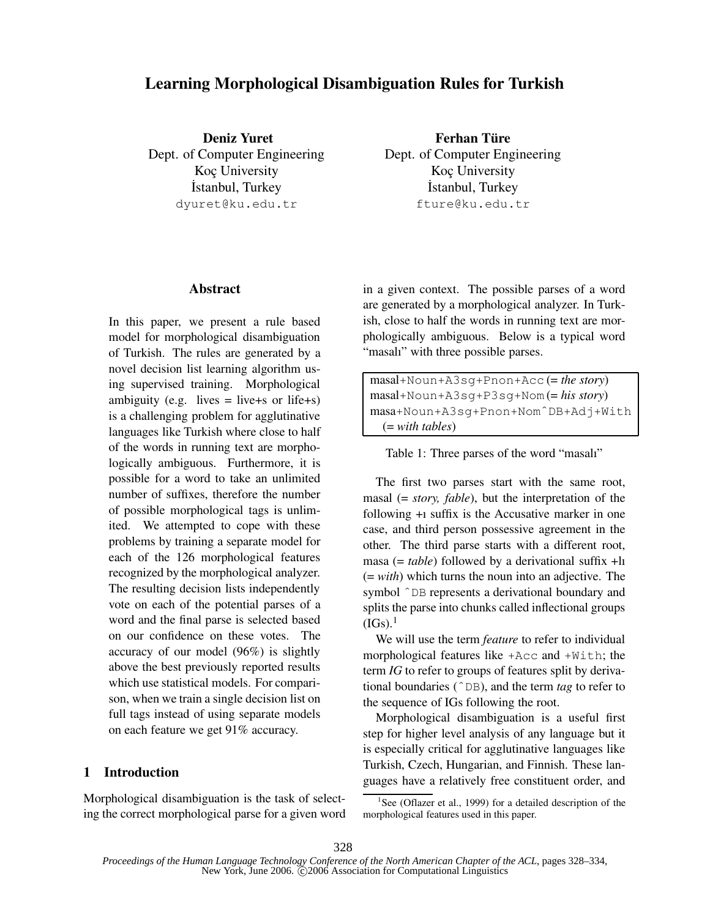# **Learning Morphological Disambiguation Rules for Turkish**

**Deniz Yuret** Dept. of Computer Engineering Koc University ˙Istanbul, Turkey dyuret@ku.edu.tr

**Ferhan Tiire** Dept. of Computer Engineering Koc University İstanbul, Turkey fture@ku.edu.tr

### **Abstract**

In this paper, we present a rule based model for morphological disambiguation of Turkish. The rules are generated by a novel decision list learning algorithm using supervised training. Morphological ambiguity (e.g. lives  $=$  live+s or life+s) is a challenging problem for agglutinative languages like Turkish where close to half of the words in running text are morphologically ambiguous. Furthermore, it is possible for a word to take an unlimited number of suffixes, therefore the number of possible morphological tags is unlimited. We attempted to cope with these problems by training a separate model for each of the 126 morphological features recognized by the morphological analyzer. The resulting decision lists independently vote on each of the potential parses of a word and the final parse is selected based on our confidence on these votes. The accuracy of our model (96%) is slightly above the best previously reported results which use statistical models. For comparison, when we train a single decision list on full tags instead of using separate models on each feature we get 91% accuracy.

# **1 Introduction**

Morphological disambiguation is the task of selecting the correct morphological parse for a given word in a given context. The possible parses of a word are generated by a morphological analyzer. In Turkish, close to half the words in running text are morphologically ambiguous. Below is a typical word "masalı" with three possible parses.

masal+Noun+A3sg+Pnon+Acc (= *the story*) masal+Noun+A3sg+P3sg+Nom (= *his story*) masa+Noun+A3sg+Pnon+NomˆDB+Adj+With (= *with tables*)

Table 1: Three parses of the word "masalı"

The first two parses start with the same root, masal (= *story, fable*), but the interpretation of the following +ı suffix is the Accusative marker in one case, and third person possessive agreement in the other. The third parse starts with a different root, masa (= *table*) followed by a derivational suffix +lı (= *with*) which turns the noun into an adjective. The symbol ^DB represents a derivational boundary and splits the parse into chunks called inflectional groups  $(IGs).<sup>1</sup>$ 

We will use the term *feature* to refer to individual morphological features like +Acc and +With; the term *IG* to refer to groups of features split by derivational boundaries (ˆDB), and the term *tag* to refer to the sequence of IGs following the root.

Morphological disambiguation is a useful first step for higher level analysis of any language but it is especially critical for agglutinative languages like Turkish, Czech, Hungarian, and Finnish. These languages have a relatively free constituent order, and

<sup>&</sup>lt;sup>1</sup>See (Oflazer et al., 1999) for a detailed description of the morphological features used in this paper.

*Proceedings of the Human Language Technology Conference of the North American Chapter of the ACL*, pages 328–334, New York, June 2006.  $\ddot{\text{C}}$ 2006 Association for Computational Linguistics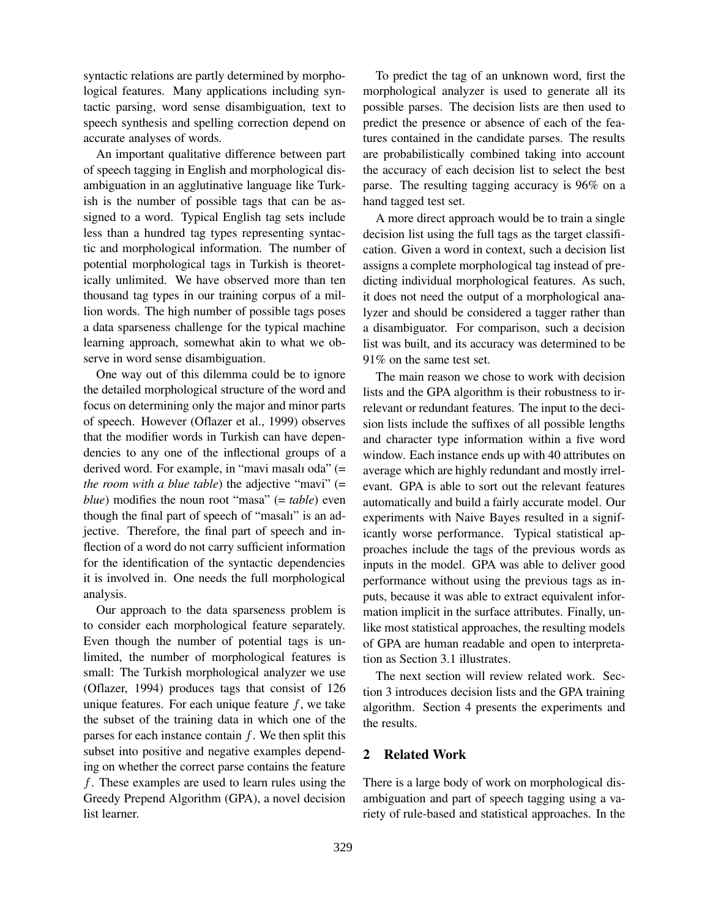syntactic relations are partly determined by morphological features. Many applications including syntactic parsing, word sense disambiguation, text to speech synthesis and spelling correction depend on accurate analyses of words.

An important qualitative difference between part of speech tagging in English and morphological disambiguation in an agglutinative language like Turkish is the number of possible tags that can be assigned to a word. Typical English tag sets include less than a hundred tag types representing syntactic and morphological information. The number of potential morphological tags in Turkish is theoretically unlimited. We have observed more than ten thousand tag types in our training corpus of a million words. The high number of possible tags poses a data sparseness challenge for the typical machine learning approach, somewhat akin to what we observe in word sense disambiguation.

One way out of this dilemma could be to ignore the detailed morphological structure of the word and focus on determining only the major and minor parts of speech. However (Oflazer et al., 1999) observes that the modifier words in Turkish can have dependencies to any one of the inflectional groups of a derived word. For example, in "mavi masalı oda" (= *the room with a blue table*) the adjective "mavi" (= *blue*) modifies the noun root "masa" (= *table*) even though the final part of speech of "masalı" is an adjective. Therefore, the final part of speech and inflection of a word do not carry sufficient information for the identification of the syntactic dependencies it is involved in. One needs the full morphological analysis.

Our approach to the data sparseness problem is to consider each morphological feature separately. Even though the number of potential tags is unlimited, the number of morphological features is small: The Turkish morphological analyzer we use (Oflazer, 1994) produces tags that consist of 126 unique features. For each unique feature  $f$ , we take the subset of the training data in which one of the parses for each instance contain  $f$ . We then split this subset into positive and negative examples depending on whether the correct parse contains the feature f. These examples are used to learn rules using the Greedy Prepend Algorithm (GPA), a novel decision list learner.

To predict the tag of an unknown word, first the morphological analyzer is used to generate all its possible parses. The decision lists are then used to predict the presence or absence of each of the features contained in the candidate parses. The results are probabilistically combined taking into account the accuracy of each decision list to select the best parse. The resulting tagging accuracy is 96% on a hand tagged test set.

A more direct approach would be to train a single decision list using the full tags as the target classification. Given a word in context, such a decision list assigns a complete morphological tag instead of predicting individual morphological features. As such, it does not need the output of a morphological analyzer and should be considered a tagger rather than a disambiguator. For comparison, such a decision list was built, and its accuracy was determined to be 91% on the same test set.

The main reason we chose to work with decision lists and the GPA algorithm is their robustness to irrelevant or redundant features. The input to the decision lists include the suffixes of all possible lengths and character type information within a five word window. Each instance ends up with 40 attributes on average which are highly redundant and mostly irrelevant. GPA is able to sort out the relevant features automatically and build a fairly accurate model. Our experiments with Naive Bayes resulted in a significantly worse performance. Typical statistical approaches include the tags of the previous words as inputs in the model. GPA was able to deliver good performance without using the previous tags as inputs, because it was able to extract equivalent information implicit in the surface attributes. Finally, unlike most statistical approaches, the resulting models of GPA are human readable and open to interpretation as Section 3.1 illustrates.

The next section will review related work. Section 3 introduces decision lists and the GPA training algorithm. Section 4 presents the experiments and the results.

### **2 Related Work**

There is a large body of work on morphological disambiguation and part of speech tagging using a variety of rule-based and statistical approaches. In the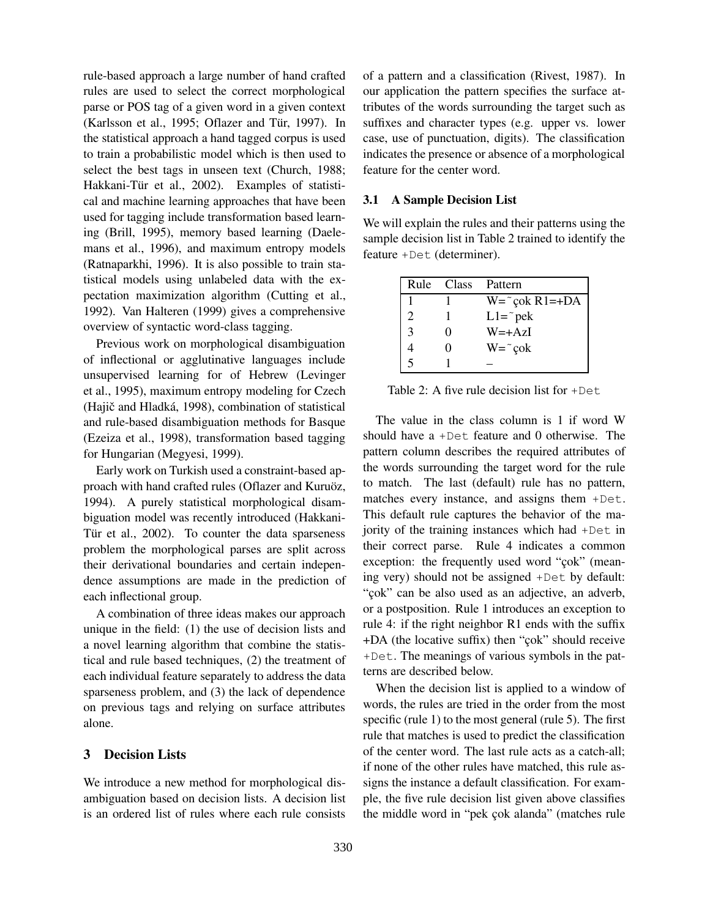rule-based approach a large number of hand crafted rules are used to select the correct morphological parse or POS tag of a given word in a given context (Karlsson et al., 1995; Oflazer and Tür, 1997). In the statistical approach a hand tagged corpus is used to train a probabilistic model which is then used to select the best tags in unseen text (Church, 1988; Hakkani-Tür et al., 2002). Examples of statistical and machine learning approaches that have been used for tagging include transformation based learning (Brill, 1995), memory based learning (Daelemans et al., 1996), and maximum entropy models (Ratnaparkhi, 1996). It is also possible to train statistical models using unlabeled data with the expectation maximization algorithm (Cutting et al., 1992). Van Halteren (1999) gives a comprehensive overview of syntactic word-class tagging.

Previous work on morphological disambiguation of inflectional or agglutinative languages include unsupervised learning for of Hebrew (Levinger et al., 1995), maximum entropy modeling for Czech (Hajič and Hladká, 1998), combination of statistical and rule-based disambiguation methods for Basque (Ezeiza et al., 1998), transformation based tagging for Hungarian (Megyesi, 1999).

Early work on Turkish used a constraint-based approach with hand crafted rules (Oflazer and Kuruöz, 1994). A purely statistical morphological disambiguation model was recently introduced (Hakkani-Tür et al., 2002). To counter the data sparseness problem the morphological parses are split across their derivational boundaries and certain independence assumptions are made in the prediction of each inflectional group.

A combination of three ideas makes our approach unique in the field: (1) the use of decision lists and a novel learning algorithm that combine the statistical and rule based techniques, (2) the treatment of each individual feature separately to address the data sparseness problem, and (3) the lack of dependence on previous tags and relying on surface attributes alone.

# **3 Decision Lists**

We introduce a new method for morphological disambiguation based on decision lists. A decision list is an ordered list of rules where each rule consists

of a pattern and a classification (Rivest, 1987). In our application the pattern specifies the surface attributes of the words surrounding the target such as suffixes and character types (e.g. upper vs. lower case, use of punctuation, digits). The classification indicates the presence or absence of a morphological feature for the center word.

#### **3.1 A Sample Decision List**

We will explain the rules and their patterns using the sample decision list in Table 2 trained to identify the feature +Det (determiner).

|   | Rule Class | Pattern                    |
|---|------------|----------------------------|
|   |            | $W = \tilde{C}$ çok R1=+DA |
|   |            | $L1 = \degree$ pek         |
| 3 | 0          | $W = +AzI$                 |
|   | 0          | $W = \tilde{C}$ cok        |
| 5 |            |                            |

Table 2: A five rule decision list for +Det

The value in the class column is 1 if word W should have a +Det feature and 0 otherwise. The pattern column describes the required attributes of the words surrounding the target word for the rule to match. The last (default) rule has no pattern, matches every instance, and assigns them +Det. This default rule captures the behavior of the majority of the training instances which had +Det in their correct parse. Rule 4 indicates a common exception: the frequently used word "cok" (meaning very) should not be assigned +Det by default: "cok" can be also used as an adjective, an adverb, or a postposition. Rule 1 introduces an exception to rule 4: if the right neighbor R1 ends with the suffix +DA (the locative suffix) then "cok" should receive +Det. The meanings of various symbols in the patterns are described below.

When the decision list is applied to a window of words, the rules are tried in the order from the most specific (rule 1) to the most general (rule 5). The first rule that matches is used to predict the classification of the center word. The last rule acts as a catch-all; if none of the other rules have matched, this rule assigns the instance a default classification. For example, the five rule decision list given above classifies the middle word in "pek çok alanda" (matches rule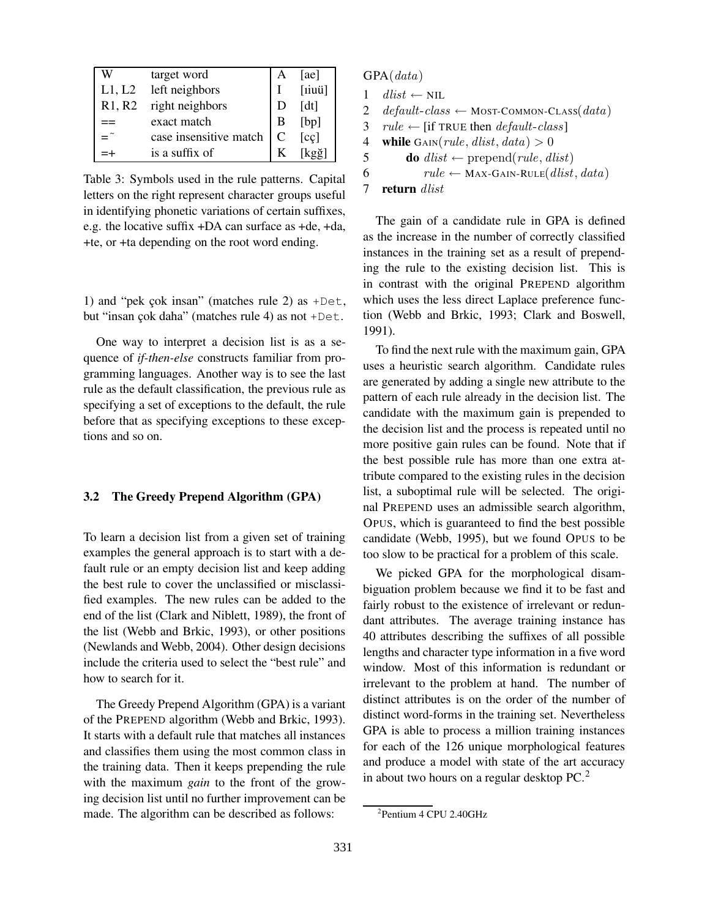| W                               | target word            | [ae]    |
|---------------------------------|------------------------|---------|
| L1, L2                          | left neighbors         | [iiiii] |
| R <sub>1</sub> , R <sub>2</sub> | right neighbors        | [dt]    |
|                                 | exact match            | [bp]    |
|                                 | case insensitive match | [cc]    |
|                                 | is a suffix of         |         |

Table 3: Symbols used in the rule patterns. Capital letters on the right represent character groups useful in identifying phonetic variations of certain suffixes, e.g. the locative suffix +DA can surface as +de, +da, +te, or +ta depending on the root word ending.

1) and "pek çok insan" (matches rule 2) as  $+Det$ , but "insan çok daha" (matches rule 4) as not +Det.

One way to interpret a decision list is as a sequence of *if-then-else* constructs familiar from programming languages. Another way is to see the last rule as the default classification, the previous rule as specifying a set of exceptions to the default, the rule before that as specifying exceptions to these exceptions and so on.

# **3.2 The Greedy Prepend Algorithm (GPA)**

To learn a decision list from a given set of training examples the general approach is to start with a default rule or an empty decision list and keep adding the best rule to cover the unclassified or misclassified examples. The new rules can be added to the end of the list (Clark and Niblett, 1989), the front of the list (Webb and Brkic, 1993), or other positions (Newlands and Webb, 2004). Other design decisions include the criteria used to select the "best rule" and how to search for it.

The Greedy Prepend Algorithm (GPA) is a variant of the PREPEND algorithm (Webb and Brkic, 1993). It starts with a default rule that matches all instances and classifies them using the most common class in the training data. Then it keeps prepending the rule with the maximum *gain* to the front of the growing decision list until no further improvement can be made. The algorithm can be described as follows:

 $GPA(data)$ 

```
1 dlist \leftarrow \text{NIL}
```
2 default-class  $\leftarrow$  MOST-COMMON-CLASS(data)

```
3 rule \leftarrow [if TRUE then default-class]
```

```
4 while GAIN(rule, dlist, data) > 0
```
5 **do**  $dlist \leftarrow$  prepend(*rule*, *dlist*)

6  $rule \leftarrow \text{MAX-GAIN-Rule}(dist, data)$ 

```
7 return dlist
```
The gain of a candidate rule in GPA is defined as the increase in the number of correctly classified instances in the training set as a result of prepending the rule to the existing decision list. This is in contrast with the original PREPEND algorithm which uses the less direct Laplace preference function (Webb and Brkic, 1993; Clark and Boswell, 1991).

To find the next rule with the maximum gain, GPA uses a heuristic search algorithm. Candidate rules are generated by adding a single new attribute to the pattern of each rule already in the decision list. The candidate with the maximum gain is prepended to the decision list and the process is repeated until no more positive gain rules can be found. Note that if the best possible rule has more than one extra attribute compared to the existing rules in the decision list, a suboptimal rule will be selected. The original PREPEND uses an admissible search algorithm, OPUS, which is guaranteed to find the best possible candidate (Webb, 1995), but we found OPUS to be too slow to be practical for a problem of this scale.

We picked GPA for the morphological disambiguation problem because we find it to be fast and fairly robust to the existence of irrelevant or redundant attributes. The average training instance has 40 attributes describing the suffixes of all possible lengths and character type information in a five word window. Most of this information is redundant or irrelevant to the problem at hand. The number of distinct attributes is on the order of the number of distinct word-forms in the training set. Nevertheless GPA is able to process a million training instances for each of the 126 unique morphological features and produce a model with state of the art accuracy in about two hours on a regular desktop PC.<sup>2</sup>

<sup>2</sup> Pentium 4 CPU 2.40GHz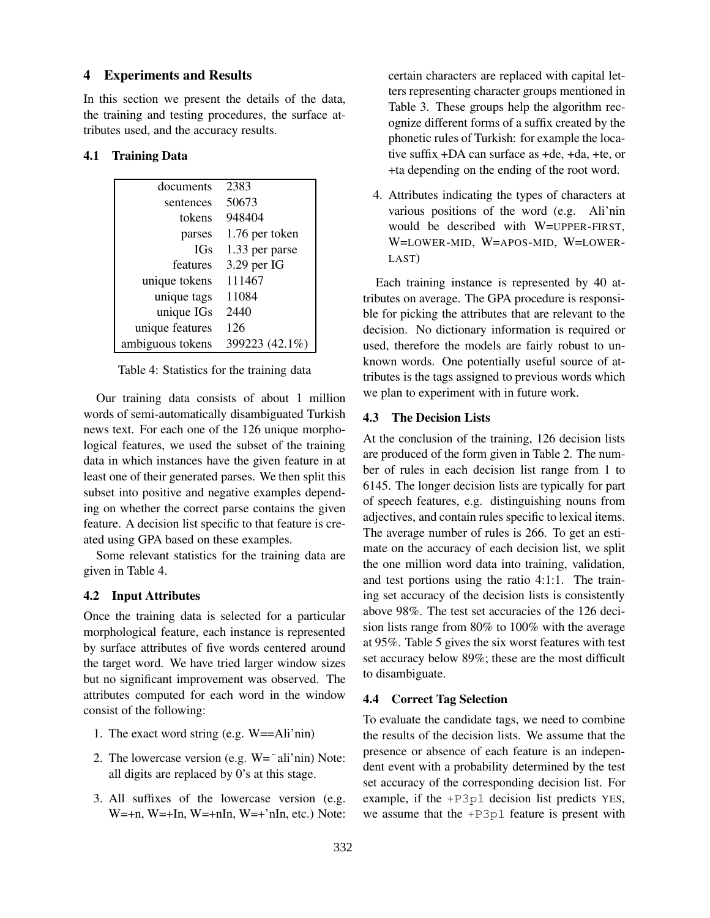# **4 Experiments and Results**

In this section we present the details of the data, the training and testing procedures, the surface attributes used, and the accuracy results.

#### **4.1 Training Data**

| documents        | 2383           |
|------------------|----------------|
| sentences        | 50673          |
| tokens           | 948404         |
| parses           | 1.76 per token |
| <b>IGs</b>       | 1.33 per parse |
| features         | 3.29 per IG    |
| unique tokens    | 111467         |
| unique tags      | 11084          |
| unique IGs       | 2440           |
| unique features  | 126            |
| ambiguous tokens | 399223 (42.1%) |

Table 4: Statistics for the training data

Our training data consists of about 1 million words of semi-automatically disambiguated Turkish news text. For each one of the 126 unique morphological features, we used the subset of the training data in which instances have the given feature in at least one of their generated parses. We then split this subset into positive and negative examples depending on whether the correct parse contains the given feature. A decision list specific to that feature is created using GPA based on these examples.

Some relevant statistics for the training data are given in Table 4.

#### **4.2 Input Attributes**

Once the training data is selected for a particular morphological feature, each instance is represented by surface attributes of five words centered around the target word. We have tried larger window sizes but no significant improvement was observed. The attributes computed for each word in the window consist of the following:

- 1. The exact word string (e.g. W==Ali'nin)
- 2. The lowercase version (e.g.  $W = \hat{a} \sin \hat{b}$  Note: all digits are replaced by 0's at this stage.
- 3. All suffixes of the lowercase version (e.g. W=+n, W=+In, W=+nIn, W=+'nIn, etc.) Note:

certain characters are replaced with capital letters representing character groups mentioned in Table 3. These groups help the algorithm recognize different forms of a suffix created by the phonetic rules of Turkish: for example the locative suffix +DA can surface as +de, +da, +te, or +ta depending on the ending of the root word.

4. Attributes indicating the types of characters at various positions of the word (e.g. Ali'nin would be described with W=UPPER-FIRST, W=LOWER-MID, W=APOS-MID, W=LOWER-LAST)

Each training instance is represented by 40 attributes on average. The GPA procedure is responsible for picking the attributes that are relevant to the decision. No dictionary information is required or used, therefore the models are fairly robust to unknown words. One potentially useful source of attributes is the tags assigned to previous words which we plan to experiment with in future work.

#### **4.3 The Decision Lists**

At the conclusion of the training, 126 decision lists are produced of the form given in Table 2. The number of rules in each decision list range from 1 to 6145. The longer decision lists are typically for part of speech features, e.g. distinguishing nouns from adjectives, and contain rules specific to lexical items. The average number of rules is 266. To get an estimate on the accuracy of each decision list, we split the one million word data into training, validation, and test portions using the ratio 4:1:1. The training set accuracy of the decision lists is consistently above 98%. The test set accuracies of the 126 decision lists range from 80% to 100% with the average at 95%. Table 5 gives the six worst features with test set accuracy below 89%; these are the most difficult to disambiguate.

#### **4.4 Correct Tag Selection**

To evaluate the candidate tags, we need to combine the results of the decision lists. We assume that the presence or absence of each feature is an independent event with a probability determined by the test set accuracy of the corresponding decision list. For example, if the +P3pl decision list predicts YES, we assume that the +P3pl feature is present with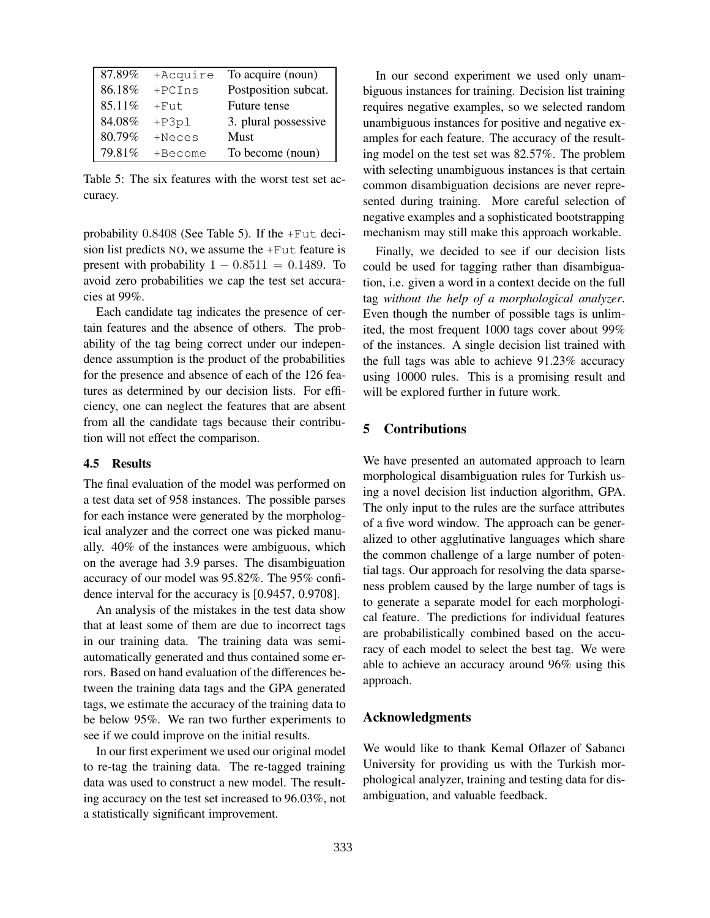| 87.89%  | +Acquire    | To acquire (noun)    |
|---------|-------------|----------------------|
| 86.18%  | $+PCIns$    | Postposition subcat. |
| 85.11\% | $+$ $F$ ut. | Future tense         |
| 84.08%  | $+P3p1$     | 3. plural possessive |
| 80.79%  | $+Neces$    | Must                 |
| 79.81%  | +Become     | To become (noun)     |

Table 5: The six features with the worst test set accuracy.

probability 0.8408 (See Table 5). If the +Fut decision list predicts NO, we assume the +Fut feature is present with probability  $1 - 0.8511 = 0.1489$ . To avoid zero probabilities we cap the test set accuracies at 99%.

Each candidate tag indicates the presence of certain features and the absence of others. The probability of the tag being correct under our independence assumption is the product of the probabilities for the presence and absence of each of the 126 features as determined by our decision lists. For efficiency, one can neglect the features that are absent from all the candidate tags because their contribution will not effect the comparison.

#### **4.5 Results**

The final evaluation of the model was performed on a test data set of 958 instances. The possible parses for each instance were generated by the morphological analyzer and the correct one was picked manually. 40% of the instances were ambiguous, which on the average had 3.9 parses. The disambiguation accuracy of our model was 95.82%. The 95% confidence interval for the accuracy is [0.9457, 0.9708].

An analysis of the mistakes in the test data show that at least some of them are due to incorrect tags in our training data. The training data was semiautomatically generated and thus contained some errors. Based on hand evaluation of the differences between the training data tags and the GPA generated tags, we estimate the accuracy of the training data to be below 95%. We ran two further experiments to see if we could improve on the initial results.

In our first experiment we used our original model to re-tag the training data. The re-tagged training data was used to construct a new model. The resulting accuracy on the test set increased to 96.03%, not a statistically significant improvement.

In our second experiment we used only unambiguous instances for training. Decision list training requires negative examples, so we selected random unambiguous instances for positive and negative examples for each feature. The accuracy of the resulting model on the test set was 82.57%. The problem with selecting unambiguous instances is that certain common disambiguation decisions are never represented during training. More careful selection of negative examples and a sophisticated bootstrapping mechanism may still make this approach workable.

Finally, we decided to see if our decision lists could be used for tagging rather than disambiguation, i.e. given a word in a context decide on the full tag *without the help of a morphological analyzer*. Even though the number of possible tags is unlimited, the most frequent 1000 tags cover about 99% of the instances. A single decision list trained with the full tags was able to achieve 91.23% accuracy using 10000 rules. This is a promising result and will be explored further in future work.

# **5 Contributions**

We have presented an automated approach to learn morphological disambiguation rules for Turkish using a novel decision list induction algorithm, GPA. The only input to the rules are the surface attributes of a five word window. The approach can be generalized to other agglutinative languages which share the common challenge of a large number of potential tags. Our approach for resolving the data sparseness problem caused by the large number of tags is to generate a separate model for each morphological feature. The predictions for individual features are probabilistically combined based on the accuracy of each model to select the best tag. We were able to achieve an accuracy around 96% using this approach.

### **Acknowledgments**

We would like to thank Kemal Oflazer of Sabancı University for providing us with the Turkish morphological analyzer, training and testing data for disambiguation, and valuable feedback.